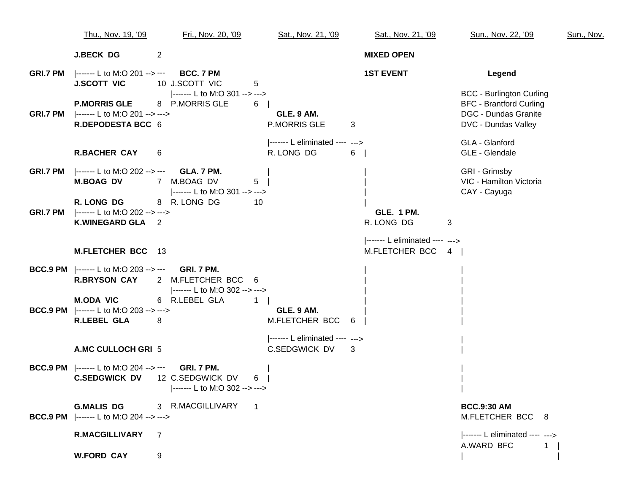|                 | Thu., Nov. 19, '09                                                                           | Fri., Nov. 20, '09                                      | Sat., Nov. 21, '09                               | Sat., Nov. 21, '09                                 | Sun., Nov. 22, '09                                                                                                      | Sun., Nov. |
|-----------------|----------------------------------------------------------------------------------------------|---------------------------------------------------------|--------------------------------------------------|----------------------------------------------------|-------------------------------------------------------------------------------------------------------------------------|------------|
|                 | <b>J.BECK DG</b>                                                                             | 2                                                       |                                                  | <b>MIXED OPEN</b>                                  |                                                                                                                         |            |
| <b>GRI.7 PM</b> | ------- L to M:O 201 --> ---<br><b>J.SCOTT VIC</b>                                           | BCC, 7 PM<br>10 J.SCOTT VIC<br>5                        |                                                  | <b>1ST EVENT</b>                                   | Legend                                                                                                                  |            |
|                 | <b>P.MORRIS GLE</b><br><b>GRI.7 PM</b> ------- L to M:O 201 --> ---><br>R.DEPODESTA BCC 6    | ------- L to M:O 301 --> ---><br>8 P.MORRIS GLE<br>6    | GLE. 9 AM.<br><b>P.MORRIS GLE</b>                | $\mathbf{3}$                                       | <b>BCC - Burlington Curling</b><br><b>BFC - Brantford Curling</b><br><b>DGC - Dundas Granite</b><br>DVC - Dundas Valley |            |
|                 | <b>R.BACHER CAY</b>                                                                          | 6                                                       | ------ L eliminated ---- ---><br>R. LONG DG      | $6 \mid$                                           | GLA - Glanford<br>GLE - Glendale                                                                                        |            |
|                 | <b>GRI.7 PM</b> ------- L to M:O 202 --> --- <b>GLA. 7 PM.</b><br><b>M.BOAG DV</b>           | 7 M.BOAG DV<br>5<br> ------- L to M:O 301 --> --->      |                                                  |                                                    | GRI - Grimsby<br>VIC - Hamilton Victoria<br>CAY - Cayuga                                                                |            |
| <b>GRI.7 PM</b> | R. LONG DG<br> ------- L to M:O 202 --> ---><br>K.WINEGARD GLA 2                             | 8 R. LONG DG<br>10                                      |                                                  | <b>GLE. 1 PM.</b><br>R. LONG DG                    | 3                                                                                                                       |            |
|                 | <b>M.FLETCHER BCC</b> 13                                                                     |                                                         |                                                  | ------- L eliminated ---- ---><br>M.FLETCHER BCC 4 |                                                                                                                         |            |
|                 | <b>BCC.9 PM</b>  ------- L to M:O 203 --> --- GRI. 7 PM.<br><b>R.BRYSON CAY</b>              | 2 M.FLETCHER BCC 6<br> ------- L to M:O 302 --> --->    |                                                  |                                                    |                                                                                                                         |            |
|                 | <b>M.ODA VIC</b><br><b>BCC.9 PM</b> ------- L to M:O 203 --> ---><br><b>R.LEBEL GLA</b><br>8 | 6 R.LEBEL GLA<br>$\mathbf{1}$                           | GLE. 9 AM.<br>M.FLETCHER BCC 6                   |                                                    |                                                                                                                         |            |
|                 | A.MC CULLOCH GRI 5                                                                           |                                                         | $ ----- L$ eliminated ---- ---><br>C.SEDGWICK DV | 3                                                  |                                                                                                                         |            |
|                 | <b>BCC.9 PM</b>  ------- L to M:O 204 --> --- GRI. 7 PM.<br><b>C.SEDGWICK DV</b>             | 12 C.SEDGWICK DV<br>6<br> ------- L to M:O 302 --> ---> |                                                  |                                                    |                                                                                                                         |            |
|                 | <b>G.MALIS DG</b><br><b>BCC.9 PM</b> ------- L to M:O 204 --> --->                           | 3 R.MACGILLIVARY<br>$\overline{\phantom{1}}$            |                                                  |                                                    | <b>BCC.9:30 AM</b><br>M.FLETCHER BCC 8                                                                                  |            |
|                 | <b>R.MACGILLIVARY</b>                                                                        | 7                                                       |                                                  |                                                    | ------- L eliminated ---- ---><br>A.WARD BFC                                                                            |            |
|                 | <b>W.FORD CAY</b>                                                                            | 9                                                       |                                                  |                                                    |                                                                                                                         |            |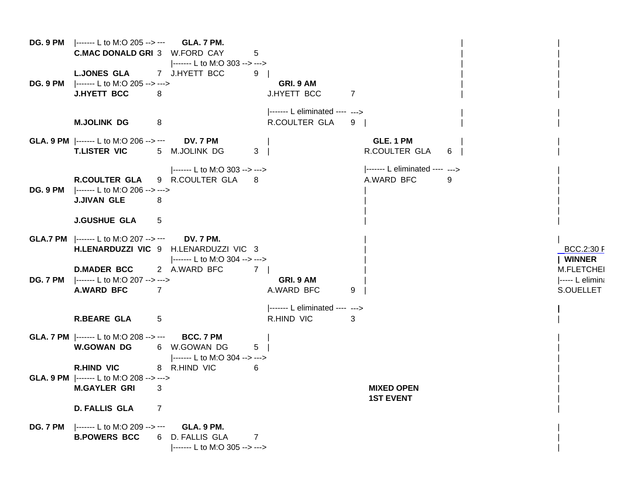|                 | <b>DG. 9 PM</b>  ------- L to M:O 205 --> --- <b>GLA. 7 PM.</b><br><b>C.MAC DONALD GRI 3 W.FORD CAY</b>    | 5                                                                   |                                                                              |                                                   |   |                                               |
|-----------------|------------------------------------------------------------------------------------------------------------|---------------------------------------------------------------------|------------------------------------------------------------------------------|---------------------------------------------------|---|-----------------------------------------------|
| DG. 9 PM        | <b>L.JONES GLA</b><br> ------- L to M:O 205 --> ---><br><b>J.HYETT BCC</b><br>8<br><b>M.JOLINK DG</b><br>8 | ------- L to M:O 303 --> ---><br>7 J.HYETT BCC<br>9                 | GRI. 9 AM<br>J.HYETT BCC<br> ------- L eliminated ---- ---><br>R.COULTER GLA | 7<br>9                                            |   |                                               |
|                 | <b>GLA. 9 PM</b>  ------- L to M:O 206 --> --- DV. 7 PM<br><b>T.LISTER VIC</b>                             | 5 M.JOLINK DG<br>3 <sup>1</sup>                                     |                                                                              | GLE, 1 PM<br>R.COULTER GLA                        | 6 |                                               |
| DG. 9 PM        | R.COULTER GLA<br> ------- L to M:O 206 --> ---><br><b>J.JIVAN GLE</b><br>8                                 | ------- L to M:O 303 --> ---><br>9 R.COULTER GLA 8                  |                                                                              | ------- L eliminated ---- ---><br>A.WARD BFC<br>9 |   |                                               |
|                 | <b>J.GUSHUE GLA</b><br>5                                                                                   |                                                                     |                                                                              |                                                   |   |                                               |
|                 | <b>GLA.7 PM</b>  ------- L to M:O 207 --> --- DV. 7 PM.<br>H.LENARDUZZI VIC 9 H.LENARDUZZI VIC 3           | ------- L to M:O 304 --> --->                                       |                                                                              |                                                   |   | <b>BCC.2:30 F</b><br>  WINNER                 |
| DG. 7 PM        | <b>D.MADER BCC</b><br> ------- L to M:O 207 --> ---><br><b>A.WARD BFC</b><br>$\overline{7}$                | 2 A.WARD BFC<br>7 I                                                 | GRI. 9 AM<br>A.WARD BFC                                                      | 9                                                 |   | M.FLETCHEI<br>$ ----- L$ elimina<br>S.OUELLET |
|                 | <b>R.BEARE GLA</b><br>5                                                                                    |                                                                     | ------- L eliminated ---- ---><br>R.HIND VIC                                 | 3                                                 |   |                                               |
|                 | <b>GLA. 7 PM</b> $\left  \cdots \right $ L to M:O 208 --> ---<br><b>W.GOWAN DG</b>                         | BCC. 7 PM<br>5<br>6 W.GOWAN DG<br> ------- L to M:O 304 --> --->    |                                                                              |                                                   |   |                                               |
|                 | <b>R.HIND VIC</b><br><b>GLA. 9 PM</b>  ------ L to M:O 208 --> ---><br><b>M.GAYLER GRI</b><br>3            | 8 R.HIND VIC<br>6                                                   |                                                                              | <b>MIXED OPEN</b><br><b>1ST EVENT</b>             |   |                                               |
|                 | <b>D. FALLIS GLA</b><br>7                                                                                  |                                                                     |                                                                              |                                                   |   |                                               |
| <b>DG. 7 PM</b> | $\left  \dots \right $ L to M:O 209 --> --- GLA. 9 PM.<br><b>B.POWERS BCC</b>                              | 6 D. FALLIS GLA<br>$\overline{7}$<br> ------- L to M:O 305 --> ---> |                                                                              |                                                   |   |                                               |